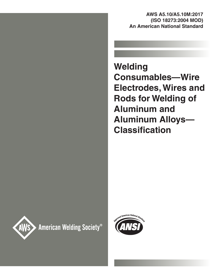**AWS A5.10/A5.10M:2017 (ISO 18273:2004 MOD) An American National Standard**

# **Welding Consumables—Wire Electrodes, Wires and Rods for Welding of Aluminum and Aluminum Alloys— Classification**



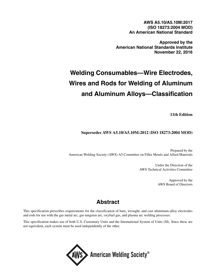**AWS A5.10/A5.10M:2017 (ISO 18273:2004 MOD) An American National Standard**

**Approved by the American National Standards Institute November 22, 2016**

# **Welding Consumables—Wire Electrodes, Wires and Rods for Welding of Aluminum and Aluminum Alloys—Classification**

**11th Edition**

## **Supersedes AWS A5.10/A5.10M:2012 (ISO 18273:2004 MOD)**

Prepared by the American Welding Society (AWS) A5 Committee on Filler Metals and Allied Materials

> Under the Direction of the AWS Technical Activities Committee

> > Approved by the AWS Board of Directors

## **Abstract**

This specification prescribes requirements for the classification of bare, wrought, and cast aluminum-alloy electrodes and rods for use with the gas metal arc, gas tungsten arc, oxyfuel gas, and plasma arc welding processes.

This specification makes use of both U.S. Customary Units and the International System of Units (SI). Since these are not equivalent, each system must be used independently of the other.

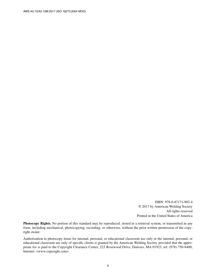ISBN: 978-0-87171-903-4 © 2017 by American Welding Society All rights reserved Printed in the United States of America

**Photocopy Rights.** No portion of this standard may be reproduced, stored in a retrieval system, or transmitted in any form, including mechanical, photocopying, recording, or otherwise, without the prior written permission of the copyright owner.

Authorization to photocopy items for internal, personal, or educational classroom use only or the internal, personal, or educational classroom use only of specific clients is granted by the American Welding Society provided that the appropriate fee is paid to the Copyright Clearance Center, 222 Rosewood Drive, Danvers, MA 01923, tel: (978) 750-8400; Internet: <www.copyright.com>.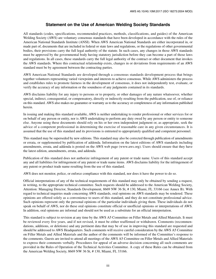#### **Statement on the Use of American Welding Society Standards**

All standards (codes, specifications, recommended practices, methods, classifications, and guides) of the American Welding Society (AWS) are voluntary consensus standards that have been developed in accordance with the rules of the American National Standards Institute (ANSI). When AWS American National Standards are either incorporated in, or made part of, documents that are included in federal or state laws and regulations, or the regulations of other governmental bodies, their provisions carry the full legal authority of the statute. In such cases, any changes in those AWS standards must be approved by the governmental body having statutory jurisdiction before they can become a part of those laws and regulations. In all cases, these standards carry the full legal authority of the contract or other document that invokes the AWS standards. Where this contractual relationship exists, changes in or deviations from requirements of an AWS standard must be by agreement between the contracting parties.

AWS American National Standards are developed through a consensus standards development process that brings together volunteers representing varied viewpoints and interests to achieve consensus. While AWS administers the process and establishes rules to promote fairness in the development of consensus, it does not independently test, evaluate, or verify the accuracy of any information or the soundness of any judgments contained in its standards.

AWS disclaims liability for any injury to persons or to property, or other damages of any nature whatsoever, whether special, indirect, consequential, or compensatory, directly or indirectly resulting from the publication, use of, or reliance on this standard. AWS also makes no guarantee or warranty as to the accuracy or completeness of any information published herein.

In issuing and making this standard available, AWS is neither undertaking to render professional or other services for or on behalf of any person or entity, nor is AWS undertaking to perform any duty owed by any person or entity to someone else. Anyone using these documents should rely on his or her own independent judgment or, as appropriate, seek the advice of a competent professional in determining the exercise of reasonable care in any given circumstances. It is assumed that the use of this standard and its provisions is entrusted to appropriately qualified and competent personnel.

This standard may be superseded by new editions. This standard may also be corrected through publication of amendments or errata, or supplemented by publication of addenda. Information on the latest editions of AWS standards including amendments, errata, and addenda is posted on the AWS web page (www.aws.org). Users should ensure that they have the latest edition, amendments, errata, and addenda.

Publication of this standard does not authorize infringement of any patent or trade name. Users of this standard accept any and all liabilities for infringement of any patent or trade name items. AWS disclaims liability for the infringement of any patent or product trade name resulting from the use of this standard.

AWS does not monitor, police, or enforce compliance with this standard, nor does it have the power to do so.

Official interpretations of any of the technical requirements of this standard may only be obtained by sending a request, in writing, to the appropriate technical committee. Such requests should be addressed to the American Welding Society, Attention: Managing Director, Standards Development, 8669 NW 36 St, # 130, Miami, FL 33166 (see Annex B). With regard to technical inquiries made concerning AWS standards, oral opinions on AWS standards may be rendered. These opinions are offered solely as a convenience to users of this standard, and they do not constitute professional advice. Such opinions represent only the personal opinions of the particular individuals giving them. These individuals do not speak on behalf of AWS, nor do these oral opinions constitute official or unofficial opinions or interpretations of AWS. In addition, oral opinions are informal and should not be used as a substitute for an official interpretation.

This standard is subject to revision at any time by the AWS A5 Committee on Filler Metals and Allied Materials. It must be reviewed every five years, and if not revised, it must be either reaffirmed or withdrawn. Comments (recommendations, additions, or deletions) and any pertinent data that may be of use in improving this standard are requested and should be addressed to AWS Headquarters. Such comments will receive careful consideration by the AWS A5 Committee on Filler Metals and Allied Materials and the author of the comments will be informed of the Committee's response to the comments. Guests are invited to attend all meetings of the AWS A5 Committee on Filler Metals and Allied Materials to express their comments verbally. Procedures for appeal of an adverse decision concerning all such comments are provided in the Rules of Operation of the Technical Activities Committee. A copy of these Rules can be obtained from the American Welding Society, 8669 NW 36 St, # 130, Miami, FL 33166.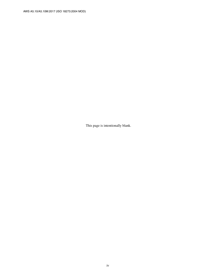This page is intentionally blank.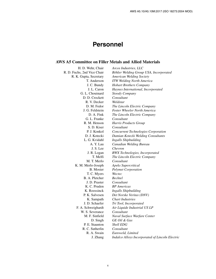## **Personnel**

#### **AWS A5 Committee on Filler Metals and Allied Materials**

| H. D. Wehr, Chair           | Arcos Industries, LLC                           |
|-----------------------------|-------------------------------------------------|
| R. D. Fuchs, 2nd Vice Chair | Böhler Welding Group USA, Incorporated          |
| R. K. Gupta, Secretary      | <b>American Welding Society</b>                 |
| T. Anderson                 | <b>ITW Welding North America</b>                |
| J. C. Bundy                 | <b>Hobart Brothers Company</b>                  |
| J. L. Caron                 | Haynes International, Incorporated              |
| G. L. Chouinard             | <b>Stoody Company</b>                           |
| D. D. Crockett              | Consultant                                      |
| R. V. Decker                | Weldstar                                        |
| D. M. Fedor                 | The Lincoln Electric Company                    |
| J. G. Feldstein             | <b>Foster Wheeler North America</b>             |
| D. A. Fink                  | The Lincoln Electric Company                    |
| G. L. Franke                | Consultant                                      |
| R. M. Henson                | Harris Products Group                           |
| S. D. Kiser                 | Consultant                                      |
| P. J. Konkol                | <b>Concurrent Technologies Corporation</b>      |
| D. J. Kotecki               | Damian Kotecki Welding Consultants              |
| L. G. Kvidahl               | <b>Ingalls Shipbuilding</b>                     |
| A. Y. Lau                   | Canadian Welding Bureau                         |
| J. S. Lee                   | Chevron                                         |
| J. R. Logan                 | <b>BWX</b> Technologies, Incorporated           |
| T. Melfi                    | The Lincoln Electric Company                    |
| M. T. Merlo                 | Consultant                                      |
| K. M. Merlo-Joseph          | <b>Apeks Supercritical</b>                      |
| B. Mosier                   | <b>Polymet Corporation</b>                      |
| T. C. Myers                 | Wectec                                          |
| B. A. Pletcher              | <b>Bechtel</b>                                  |
| J. D. Praster               | Consultant                                      |
| K. C. Pruden                | <b>BP</b> Americas                              |
| K. Roossinck                | <b>Ingalls Shipbuilding</b>                     |
| P. K. Salvesen              | Det Norske Veritas (DNV)                        |
| K. Sampath                  | <b>Chart Industries</b>                         |
| J. D. Schaefer              | Tri Tool, Incorporated                          |
| F. A. Schweighardt          | Air Liquide Industrial US LP                    |
| W. S. Severance             | Consultant                                      |
| M. F. Sinfield              | Naval Surface Warfare Center                    |
| D. Singh                    | GE Oil & Gas                                    |
| P. E. Staunton              | <b>Shell EDG</b>                                |
| R. C. Sutherlin             | Consultant                                      |
| R. A. Swain                 | Euroweld, Limited                               |
| J. Zhang                    | Indalco Alloys Incorporated of Lincoln Electric |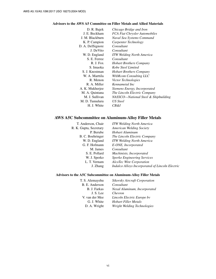#### **Advisors to the AWS A5 Committee on Filler Metals and Allied Materials**

| D. R. Bajek      | Chicago Bridge and Iron              |
|------------------|--------------------------------------|
| J. E. Beckham    | <b>FCA Fiat Chrysler Automobiles</b> |
| J. M. Blackburn  | Naval Sea Systems Command            |
| K. P. Campion    | Carpenter Technology                 |
| D. A. DelSignore | Consultant                           |
| J. DeVito        | Consultant                           |
| W. D. England    | <b>ITW Welding North America</b>     |
| S. E. Ferree     | Consultant                           |
| R. J. Fox        | <b>Hobart Brothers Company</b>       |
| S. Imaoka        | Kobe Steel Limited                   |
| S. J. Knostman   | <b>Hobart Brothers Company</b>       |
| W. A. Marttila   | <b>WAMcom Consulting LLC</b>         |
| R. Menon         | <i>Victor Technologies</i>           |
| R. A. Miller     | Kennametal Inc                       |
| A. K. Mukherjee  | Siemens Energy, Incorporated         |
| M. A. Quintana   | The Lincoln Electric Company         |
| M. J. Sullivan   | NASSCO—National Steel & Shipbuilding |
| M. D. Tumuluru   | US Steel                             |
| H. J. White      | CB&I                                 |

## **AWS A5C Subcommittee on Aluminum-Alloy Filler Metals**

| T. Anderson, Chair     | <b>ITW Welding North America</b>                |
|------------------------|-------------------------------------------------|
| R. K. Gupta, Secretary | <b>American Welding Society</b>                 |
| P. Berube              | Hobart Aluminum                                 |
| B. C. Boehringer       | The Lincoln Electric Company                    |
| W. D. England          | ITW Welding North America                       |
| G. F. Hofmann          | E-ONE, Incorporated                             |
| M. James               | Consultant                                      |
| S. E. Pollard          | Machinists, Incorporated                        |
| W. J. Sperko           | Sperko Engineering Services                     |
| L. T. Vernam           | AlcoTec Wire Corporation                        |
| J. Zhang               | Indalco Alloys Incorporated of Lincoln Electric |

#### **Advisors to the A5C Subcommittee on Aluminum-Alloy Filler Metals**

| T. S. Alemayehu | <b>Sikorsky Aircraft Corporation</b> |
|-----------------|--------------------------------------|
| B. E. Anderson  | Consultant                           |
| B. J. Farkas    | Nexal Aluminum, Incorporated         |
| J. S. Lee       | Chevron                              |
| V. van der Mee  | Lincoln Electric Europe by           |
| G. J. White     | Hobart Filler Metals                 |
| D. A. Wright    | Wright Welding Technologies          |
|                 |                                      |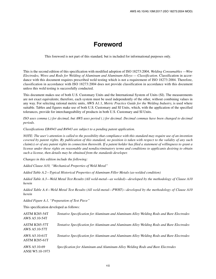## **Foreword**

This foreword is not part of this standard*,* but is included for informational purposes only.

This is the second edition of this specification with modified adoption of ISO 18273:2004, *Welding Consumables —Wire Electrodes, Wires and Rods for Welding of Aluminum and Aluminum-Alloys — Classification*. Classification in accordance with this document requires prescribed weld testing which is not a requirement of ISO 18273:2004. Therefore, classification in accordance with ISO 18273:2004 does not provide classification in accordance with this document unless this weld testing is successfully conducted.

This document makes use of both U.S. Customary Units and the International System of Units (SI). The measurements are not exact equivalents; therefore, each system must be used independently of the other, without combining values in any way. For selecting rational metric units, AWS A1.1, *Metric Practice Guide for the Welding Industry*, is used where suitable. Tables and figures make use of both U.S. Customary and SI Units, which, with the application of the specified tolerances, provide for interchangeability of products in both U.S. Customary and SI Units.

*ISO uses comma (,) for decimal, but AWS uses period (.) for decimal. Decimal commas have been changed to decimal periods.*

*Classifications ER4943 and R4943 are subject to a pending patent application.*

*NOTE: The user's attention is called to the possibility that compliance with this standard may require use of an invention covered by patent rights. By publication of this standard, no position is taken with respect to the validity of any such claim(s) or of any patent rights in connection therewith. If a patent holder has filed a statement of willingness to grant a license under these rights on reasonable and nondiscriminatory terms and conditions to applicants desiring to obtain such a license, then details may be obtained from the standards developer.*

*Changes in this edition include the following:*

*Added Clause A10, "Mechanical Properties of Weld Metal"*

*Added Table A.2—Typical Historical Properties of Aluminum Filler Metals (as-welded condition)*

*Added Table A.3—Weld Metal Test Results (All weld-metal—as welded)—developed by the methodology of Clause A10 herein*

*Added Table A.4—Weld Metal Test Results (All weld-metal—PWHT)—developed by the methodology of Clause A10 herein*

*Added Figure A.1, "Preparation of Test Piece"*

This specification developed as follows:

| <b>ASTM B285-54T</b><br>AWS A5.10-54T | Tentative Specification for Aluminum and Aluminum-Alloy Welding Rods and Bare Electrodes |
|---------------------------------------|------------------------------------------------------------------------------------------|
| <b>ASTM B285-57T</b><br>AWS A5.10-57T | Tentative Specification for Aluminum and Aluminum-Alloy Welding Rods and Bare Electrodes |
| AWS A5.10-61T<br><b>ASTM B285-61T</b> | Tentative Specification for Aluminum and Aluminum-Alloy Welding Rods and Bare Electrodes |
| AWS A5.10-69<br>ANSI W5.10-1973       | Specification for Aluminum and Aluminum-Alloy Welding Rods and Bare Electrodes           |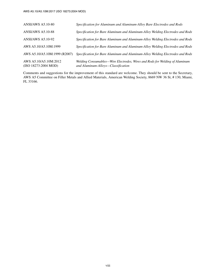| ANSI/AWS A5.10-80                             | Specification for Aluminum and Aluminum-Alloy Bare Electrodes and Rods                                            |
|-----------------------------------------------|-------------------------------------------------------------------------------------------------------------------|
| <b>ANSI/AWS A5.10-88</b>                      | Specification for Bare Aluminum and Aluminum-Alloy Welding Electrodes and Rods                                    |
| <b>ANSI/AWS A5.10-92</b>                      | Specification for Bare Aluminum and Aluminum-Alloy Welding Electrodes and Rods                                    |
| AWS A5.10/A5.10M:1999                         | Specification for Bare Aluminum and Aluminum-Alloy Welding Electrodes and Rods                                    |
| AWS A5.10/A5.10M:1999 (R2007)                 | Specification for Bare Aluminum and Aluminum-Alloy Welding Electrodes and Rods                                    |
| AWS A5.10/A5.10M:2012<br>(ISO 18273:2004 MOD) | Welding Consumables—Wire Electrodes, Wires and Rods for Welding of Aluminum<br>and Aluminum-Alloys-Classification |

Comments and suggestions for the improvement of this standard are welcome. They should be sent to the Secretary, AWS A5 Committee on Filler Metals and Allied Materials, American Welding Society, 8669 NW 36 St, # 130, Miami, FL 33166.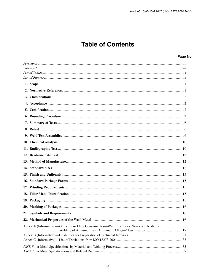## **Table of Contents**

## Page No.

| Annex A (Informative)—Guide to Welding Consumables—Wire Electrodes, Wires and Rods for |  |
|----------------------------------------------------------------------------------------|--|
|                                                                                        |  |
|                                                                                        |  |
|                                                                                        |  |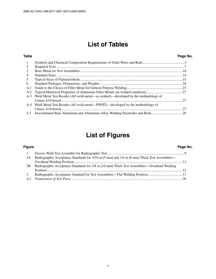## **List of Tables**

| Table |                                                                                    | Page No. |
|-------|------------------------------------------------------------------------------------|----------|
| -1    |                                                                                    |          |
| 2     |                                                                                    |          |
| 3     |                                                                                    |          |
| 4     |                                                                                    |          |
| 5     |                                                                                    |          |
| 6     |                                                                                    |          |
| A.1   |                                                                                    |          |
| A.2   |                                                                                    |          |
| A.3   | Weld Metal Test Results (All weld-metal—as welded)—developed by the methodology of |          |
|       |                                                                                    |          |
|       | A.4 Weld Metal Test Results (All weld-metal—PWHT)—developed by the methodology of  |          |
|       |                                                                                    |          |
| A.5   |                                                                                    |          |
|       |                                                                                    |          |

## **List of Figures**

#### **Figure Page No.**

| 2A             | Radiographic Acceptance Standards for 3/16 in [5 mm] and 1/4 in [6 mm] Thick Test Assemblies— |  |
|----------------|-----------------------------------------------------------------------------------------------|--|
|                |                                                                                               |  |
| 2 <sub>B</sub> | Radiographic Acceptance Standards for 3/8 in [10 mm] Thick Test Assemblies—Overhead Welding   |  |
|                |                                                                                               |  |
| 3              |                                                                                               |  |
|                |                                                                                               |  |